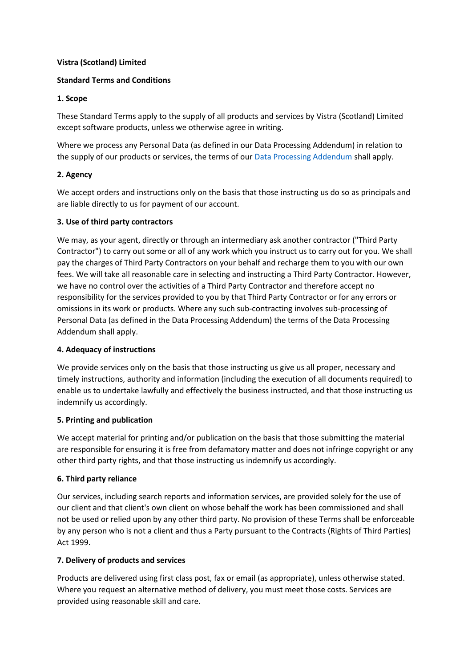#### **Vistra (Scotland) Limited**

#### **Standard Terms and Conditions**

#### **1. Scope**

These Standard Terms apply to the supply of all products and services by Vistra (Scotland) Limited except software products, unless we otherwise agree in writing.

Where we process any Personal Data (as defined in our Data Processing Addendum) in relation to the supply of our products or services, the terms of our **Data Processing Addendum shall apply**.

# **2. Agency**

We accept orders and instructions only on the basis that those instructing us do so as principals and are liable directly to us for payment of our account.

# **3. Use of third party contractors**

We may, as your agent, directly or through an intermediary ask another contractor ("Third Party Contractor") to carry out some or all of any work which you instruct us to carry out for you. We shall pay the charges of Third Party Contractors on your behalf and recharge them to you with our own fees. We will take all reasonable care in selecting and instructing a Third Party Contractor. However, we have no control over the activities of a Third Party Contractor and therefore accept no responsibility for the services provided to you by that Third Party Contractor or for any errors or omissions in its work or products. Where any such sub-contracting involves sub-processing of Personal Data (as defined in the Data Processing Addendum) the terms of the Data Processing Addendum shall apply.

# **4. Adequacy of instructions**

We provide services only on the basis that those instructing us give us all proper, necessary and timely instructions, authority and information (including the execution of all documents required) to enable us to undertake lawfully and effectively the business instructed, and that those instructing us indemnify us accordingly.

# **5. Printing and publication**

We accept material for printing and/or publication on the basis that those submitting the material are responsible for ensuring it is free from defamatory matter and does not infringe copyright or any other third party rights, and that those instructing us indemnify us accordingly.

# **6. Third party reliance**

Our services, including search reports and information services, are provided solely for the use of our client and that client's own client on whose behalf the work has been commissioned and shall not be used or relied upon by any other third party. No provision of these Terms shall be enforceable by any person who is not a client and thus a Party pursuant to the Contracts (Rights of Third Parties) Act 1999.

# **7. Delivery of products and services**

Products are delivered using first class post, fax or email (as appropriate), unless otherwise stated. Where you request an alternative method of delivery, you must meet those costs. Services are provided using reasonable skill and care.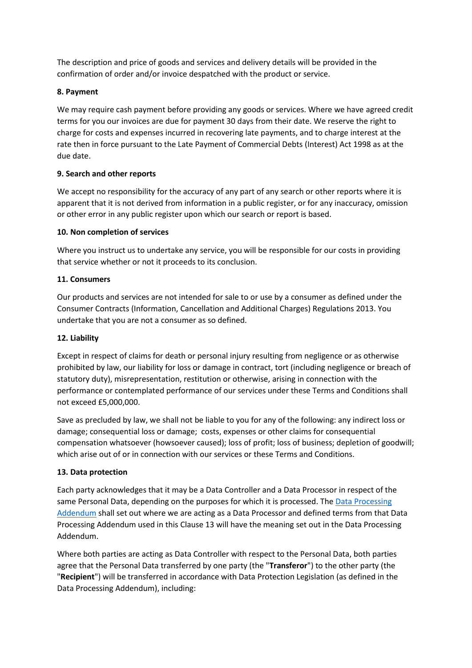The description and price of goods and services and delivery details will be provided in the confirmation of order and/or invoice despatched with the product or service.

# **8. Payment**

We may require cash payment before providing any goods or services. Where we have agreed credit terms for you our invoices are due for payment 30 days from their date. We reserve the right to charge for costs and expenses incurred in recovering late payments, and to charge interest at the rate then in force pursuant to the Late Payment of Commercial Debts (Interest) Act 1998 as at the due date.

# **9. Search and other reports**

We accept no responsibility for the accuracy of any part of any search or other reports where it is apparent that it is not derived from information in a public register, or for any inaccuracy, omission or other error in any public register upon which our search or report is based.

#### **10. Non completion of services**

Where you instruct us to undertake any service, you will be responsible for our costs in providing that service whether or not it proceeds to its conclusion.

#### **11. Consumers**

Our products and services are not intended for sale to or use by a consumer as defined under the Consumer Contracts (Information, Cancellation and Additional Charges) Regulations 2013. You undertake that you are not a consumer as so defined.

#### **12. Liability**

Except in respect of claims for death or personal injury resulting from negligence or as otherwise prohibited by law, our liability for loss or damage in contract, tort (including negligence or breach of statutory duty), misrepresentation, restitution or otherwise, arising in connection with the performance or contemplated performance of our services under these Terms and Conditions shall not exceed £5,000,000.

Save as precluded by law, we shall not be liable to you for any of the following: any indirect loss or damage; consequential loss or damage; costs, expenses or other claims for consequential compensation whatsoever (howsoever caused); loss of profit; loss of business; depletion of goodwill; which arise out of or in connection with our services or these Terms and Conditions.

# **13. Data protection**

Each party acknowledges that it may be a Data Controller and a Data Processor in respect of the same Personal Data, depending on the purposes for which it is processed. The Data Processing [Addendum](https://businessportal.vistra.com/documents/793163/0/Vistra+Scotland+Data+Processing+Addendum/3f5175ad-b2ab-f5f5-338a-052f0b2dfbd3) shall set out where we are acting as a Data Processor and defined terms from that Data Processing Addendum used in this Clause 13 will have the meaning set out in the Data Processing Addendum.

Where both parties are acting as Data Controller with respect to the Personal Data, both parties agree that the Personal Data transferred by one party (the "**Transferor**") to the other party (the "**Recipient**") will be transferred in accordance with Data Protection Legislation (as defined in the Data Processing Addendum), including: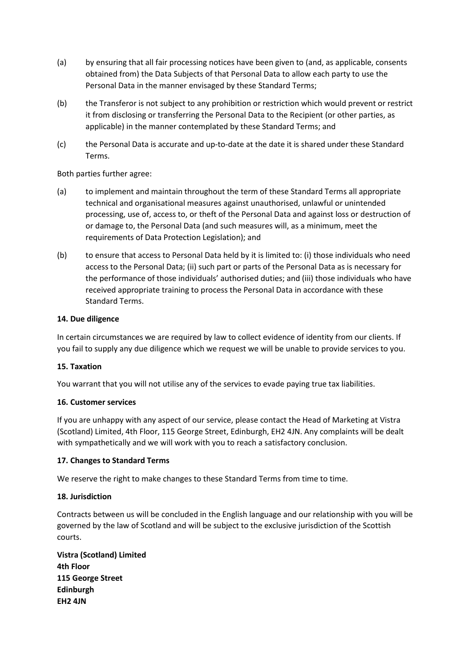- (a) by ensuring that all fair processing notices have been given to (and, as applicable, consents obtained from) the Data Subjects of that Personal Data to allow each party to use the Personal Data in the manner envisaged by these Standard Terms;
- (b) the Transferor is not subject to any prohibition or restriction which would prevent or restrict it from disclosing or transferring the Personal Data to the Recipient (or other parties, as applicable) in the manner contemplated by these Standard Terms; and
- (c) the Personal Data is accurate and up-to-date at the date it is shared under these Standard Terms.

Both parties further agree:

- (a) to implement and maintain throughout the term of these Standard Terms all appropriate technical and organisational measures against unauthorised, unlawful or unintended processing, use of, access to, or theft of the Personal Data and against loss or destruction of or damage to, the Personal Data (and such measures will, as a minimum, meet the requirements of Data Protection Legislation); and
- (b) to ensure that access to Personal Data held by it is limited to: (i) those individuals who need access to the Personal Data; (ii) such part or parts of the Personal Data as is necessary for the performance of those individuals' authorised duties; and (iii) those individuals who have received appropriate training to process the Personal Data in accordance with these Standard Terms.

#### **14. Due diligence**

In certain circumstances we are required by law to collect evidence of identity from our clients. If you fail to supply any due diligence which we request we will be unable to provide services to you.

# **15. Taxation**

You warrant that you will not utilise any of the services to evade paying true tax liabilities.

#### **16. Customer services**

If you are unhappy with any aspect of our service, please contact the Head of Marketing at Vistra (Scotland) Limited, 4th Floor, 115 George Street, Edinburgh, EH2 4JN. Any complaints will be dealt with sympathetically and we will work with you to reach a satisfactory conclusion.

# **17. Changes to Standard Terms**

We reserve the right to make changes to these Standard Terms from time to time.

# **18. Jurisdiction**

Contracts between us will be concluded in the English language and our relationship with you will be governed by the law of Scotland and will be subject to the exclusive jurisdiction of the Scottish courts.

**Vistra (Scotland) Limited 4th Floor 115 George Street Edinburgh EH2 4JN**